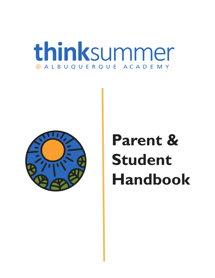# **think**summer @ A L B U Q U E R Q U E AC A D E M Y



# **Parent & Student Handbook**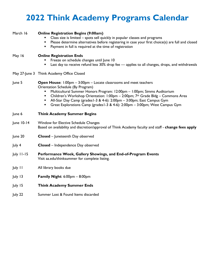## **2022 Think Academy Programs Calendar**

| March 16   | <b>Online Registration Begins (9:00am)</b><br>Class size is limited - spots sell quickly in popular classes and programs<br>Please determine alternatives before registering in case your first choice(s) are full and closed<br>٠<br>Payment in full is required at the time of registration<br>٠                                                                                                                                                  |  |  |
|------------|-----------------------------------------------------------------------------------------------------------------------------------------------------------------------------------------------------------------------------------------------------------------------------------------------------------------------------------------------------------------------------------------------------------------------------------------------------|--|--|
| May 16     | <b>Online Registration Ends</b><br>Freeze on schedule changes until June 10<br>Last day to receive refund less 30% drop fee - applies to all changes, drops, and withdrawals<br>٠                                                                                                                                                                                                                                                                   |  |  |
|            | May 27-June 3 Think Academy Office Closed                                                                                                                                                                                                                                                                                                                                                                                                           |  |  |
| June 5     | <b>Open House:</b> 1:00pm – 3:00pm – Locate classrooms and meet teachers<br>Orientation Schedule (By Program)<br>Multicultural Summer Honors Program: 12:00pm - 1:00pm; Simms Auditorium<br>Children's Workshop Orientation: 1:00pm - 2:00pm; 7th Grade Bldg - Commons Area<br>٠<br>All-Star Day Camp (grades1-3 & 4-6): 2:00pm - 3:00pm; East Campus Gym<br>٠<br>Great Explorations Camp (grades I-3 & 4-6): 2:00pm - 3:00pm; West Campus Gym<br>٠ |  |  |
| June 6     | <b>Think Academy Summer Begins</b>                                                                                                                                                                                                                                                                                                                                                                                                                  |  |  |
| June 10-14 | Window for Elective Schedule Changes<br>Based on availability and discretion/approval of Think Academy faculty and staff - change fees apply                                                                                                                                                                                                                                                                                                        |  |  |
| June 20    | <b>Closed</b> – Juneteenth Day observed                                                                                                                                                                                                                                                                                                                                                                                                             |  |  |
| July 4     | Closed - Independence Day observed                                                                                                                                                                                                                                                                                                                                                                                                                  |  |  |
| July 11-15 | Performance Week, Gallery Showings, and End-of-Program Events<br>Visit aa.edu/thinksummer for complete listing.                                                                                                                                                                                                                                                                                                                                     |  |  |
| July 11    | All library books due                                                                                                                                                                                                                                                                                                                                                                                                                               |  |  |
| July 13    | <b>Family Night:</b> $6:00 \text{pm} - 8:00 \text{pm}$                                                                                                                                                                                                                                                                                                                                                                                              |  |  |
| July 15    | <b>Think Academy Summer Ends</b>                                                                                                                                                                                                                                                                                                                                                                                                                    |  |  |
| July 22    | Summer Lost & Found Items discarded                                                                                                                                                                                                                                                                                                                                                                                                                 |  |  |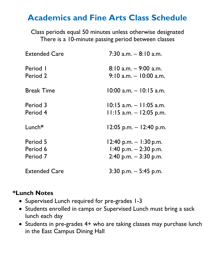### **Academics and Fine Arts Class Schedule**

Class periods equal 50 minutes unless otherwise designated There is a 10-minute passing period between classes

| <b>Extended Care</b>             | $7:30$ a.m. $-8:10$ a.m.                                                         |  |  |
|----------------------------------|----------------------------------------------------------------------------------|--|--|
| Period I<br>Period 2             | $8:10$ a.m. $-$ 9:00 a.m.<br>$9:10$ a.m. $-10:00$ a.m.                           |  |  |
| <b>Break Time</b>                | 10:00 a.m. – 10:15 a.m.                                                          |  |  |
| Period 3<br>Period 4             | $10:15$ a.m. $-11:05$ a.m.<br>$11:15$ a.m. $-12:05$ p.m.                         |  |  |
| Lunch $*$                        | $12:05$ p.m. $-12:40$ p.m.                                                       |  |  |
| Period 5<br>Period 6<br>Period 7 | $12:40$ p.m. $-1:30$ p.m.<br>1:40 p.m. $-$ 2:30 p.m.<br>$2:40$ p.m. $-3:30$ p.m. |  |  |
| <b>Extended Care</b>             | $3:30$ p.m. $-5:45$ p.m.                                                         |  |  |

### **\*Lunch Notes**

- Supervised Lunch required for pre-grades 1-3
- Students enrolled in camps or Supervised Lunch must bring a sack lunch each day
- Students in pre-grades 4+ who are taking classes may purchase lunch in the East Campus Dining Hall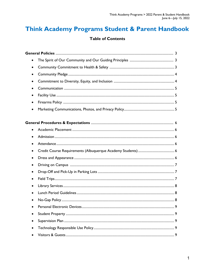### Think Academy Programs Student & Parent Handbook

### **Table of Contents**

| $\bullet$ |  |
|-----------|--|
|           |  |
|           |  |
|           |  |
|           |  |
|           |  |
| ٠         |  |
|           |  |
|           |  |
|           |  |
| $\bullet$ |  |
|           |  |
|           |  |
|           |  |
| $\bullet$ |  |
|           |  |
| ٠         |  |
| $\bullet$ |  |
|           |  |
|           |  |
|           |  |
|           |  |
|           |  |
|           |  |
|           |  |
|           |  |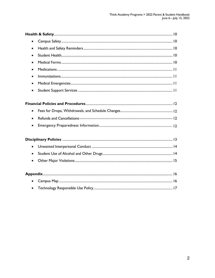| $\bullet$ |  |
|-----------|--|
| $\bullet$ |  |
| $\bullet$ |  |
| $\bullet$ |  |
|           |  |
| $\bullet$ |  |
| $\bullet$ |  |
| $\bullet$ |  |
|           |  |
| $\bullet$ |  |
| $\bullet$ |  |
| $\bullet$ |  |
|           |  |
| $\bullet$ |  |
| $\bullet$ |  |
| $\bullet$ |  |
|           |  |
| $\bullet$ |  |
|           |  |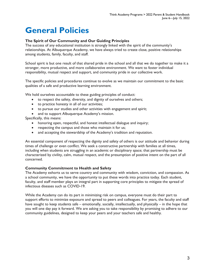### **General Policies**

### **The Spirit of Our Community and Our Guiding Principles**

The success of any educational institution is strongly linked with the spirit of the community's relationships. At Albuquerque Academy, we have always tried to create close, positive relationships among students, family, faculty, and staff.

School spirit is but one result of that shared pride in the school and all that we do together to make it a stronger, more productive, and more collaborative environment. We want to foster individual responsibility, mutual respect and support, and community pride in our collective work.

The specific policies and procedures continue to evolve as we maintain our commitment to the basic qualities of a safe and productive learning environment.

We hold ourselves accountable to these guiding principles of conduct:

- to respect the safety, diversity, and dignity of ourselves and others;
- to practice honesty in all of our activities;
- to pursue our studies and other activities with engagement and spirit;
- and to support Albuquerque Academy's mission.

Specifically, this means:

- honoring open, respectful, and honest intellectual dialogue and inquiry;
- respecting the campus and those who maintain it for us;
- and accepting the stewardship of the Academy's tradition and reputation.

An essential component of respecting the dignity and safety of others is our attitude and behavior during times of challenge or even conflict. We seek a constructive partnership with families at all times, including when students are struggling in an academic or disciplinary space; that partnership must be characterized by civility, calm, mutual respect, and the presumption of positive intent on the part of all concerned.

### **Community Commitment to Health and Safety**

The Academy exhorts us to serve country and community with wisdom, conviction, and compassion. As a school community, we have the opportunity to put these words into practice today. Each student, faculty, and staff member plays an integral part in supporting core principles to mitigate the spread of infectious diseases such as COVID-19.

While the Academy can do its part in minimizing risk on campus, everyone must do their part to support efforts to minimize exposure and spread to peers and colleagues. For years, the faculty and staff have sought to keep students safe – emotionally, socially, intellectually, and physically – in the hope that you will one day pay it forward. We are asking you to take responsibility by promising to adhere to our community guidelines, designed to keep your peers and your teachers safe and healthy.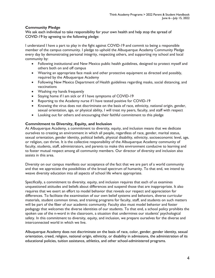### **Community Pledge**

We ask each individual to take responsibility for your own health and help stop the spread of COVID-19 by agreeing to the following pledge:

I understand I have a part to play in the fight against COVID-19 and commit to being a responsible member of the campus community. I pledge to uphold the Albuquerque Academy Community Pledge every day by demonstrating personal integrity, respecting others, and supporting my school and local community by:

- Following institutional and New Mexico public health guidelines, designed to protect myself and others both on and off campus
- Wearing an appropriate face mask and other protective equipment as directed and possibly, required by the Albuquerque Academy
- Following New Mexico Department of Health guidelines regarding masks, social distancing, and vaccinations
- Washing my hands frequently
- Staying home if I am sick or if I have symptoms of COVID-19
- Reporting to the Academy nurse if I have tested positive for COVID-19
- Knowing the virus does not discriminate on the basis of race, ethnicity, national origin, gender, sexual orientation, age, or physical ability, I will treat my peers, faculty, and staff with respect
- Looking out for others and encouraging their faithful commitment to this pledge

### **Commitment to Diversity, Equity, and Inclusion**

At Albuquerque Academy, a commitment to diversity, equity, and inclusion means that we dedicate ourselves to creating an environment in which all people, regardless of race, gender, marital status, sexual orientation, gender identity, political beliefs, physical disability, ethnicity, socioeconomic level, age, or religion, can thrive. It is the collective responsibility of the Albuquerque Academy community of faculty, students, staff, administrators, and parents to make this environment conducive to learning and to foster mutual respect among all community members. Our director of diversity and inclusion also assists in this area.

Diversity on our campus manifests our acceptance of the fact that we are part of a world community and that we appreciate the possibilities of the broad spectrum of humanity. To that end, we intend to weave diversity education into all aspects of school life where appropriate.

Specifically, a commitment to diversity, equity, and inclusion requires that each of us examines unquestioned attitudes and beliefs about differences and suspend those that are inappropriate. It also requires that we exert an effort to model behavior that reveals our respect and appreciation for differences. To facilitate the examination of our own belief systems and behaviors, diverse curricular materials, student common times, and training programs for faculty, staff, and students on such matters will be part of the fiber of our academic community. Faculty also must model behavior and foster pedagogy that welcomes the diverse identities of our students. To that end, a school policy prohibits the spoken use of the n-word in the classroom, a situation that undermines our students' psychological safety. In this commitment to diversity, equity, and inclusion, we prepare ourselves for the diverse and interconnected world in which we live.

Albuquerque Academy does not discriminate on the basis of race, color, gender, gender identity, sexual orientation, creed, religion, national origin, ethnicity, or disability in admissions, the administration of its educational policies, tuition assistance, athletics, and other school-administered programs.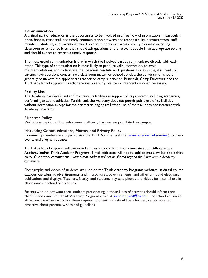### **Communication**

A critical part of education is the opportunity to be involved in a free flow of information. In particular, open, honest, respectful, and timely communication between and among faculty, administrators, staff members, students, and parents is valued. When students or parents have questions concerning classroom or school policies, they should ask questions of the relevant people in an appropriate setting and should expect to receive a timely response.

The most useful communication is that in which the involved parties communicate directly with each other. This type of communication is most likely to produce valid information, to avoid misinterpretations, and to facilitate the speediest resolution of questions. For example, if students or parents have questions concerning a classroom matter or school policies, the conversation should generally begin with the appropriate teacher or camp supervisor. Principals, Camp Directors, and the Think Academy Programs Director are available for guidance or intervention when necessary.

### **Facility Use**

The Academy has developed and maintains its facilities in support of its programs, including academics, performing arts, and athletics. To this end, the Academy does not permit public use of its facilities without permission except for the perimeter jogging trail when use of the trail does not interfere with Academy programs.

### **Firearms Policy**

With the exception of law enforcement officers, firearms are prohibited on campus.

### **Marketing Communications, Photos, and Privacy Policy**

Community members are urged to visit the Think Summer website [\(www.aa.edu/](http://www.aa.edu/)thinksummer) to check events and program updates.

Think Academy Programs will use e-mail addresses provided to communicate about Albuquerque Academy and/or Think Academy Programs. E-mail addresses will not be sold or made available to a third party. *Our privacy commitment – your e-mail address will not be shared beyond the Albuquerque Academy community.* 

Photographs and videos of students are used on the Think Academy Programs websites, in digital course catalogs, digital/print advertisements, and in brochures, advertisements, and other print and electronic publications and displays. Teachers, faculty, and students may take photos and videos for internal use in classrooms or school publications.

Parents who do not want their students participating in those kinds of activities should inform their children and e-mail the Think Academy Programs office at  $\frac{\text{summer}}{\text{mail}@aa.edu}$ . The school will make all reasonable efforts to honor these requests. Students also should be informed, responsible, and proactive about parental wishes and guidelines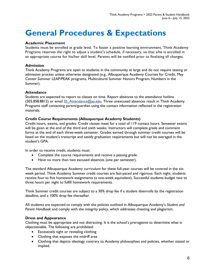### **General Procedures & Expectations**

### **Academic Placement**

Students must be enrolled at grade level. To foster a positive learning environment, Think Academy Programs reserves the right to adjust a student's schedule, if necessary, so that s/he is enrolled in an appropriate course for his/her skill level. Parents will be notified prior to finalizing all changes.

### **Admission**

Think Academy Programs are open to students in the community at large and do not require testing or admission process unless otherwise designated (e.g., Albuquerque Academy Courses for Credit, May Center Summer LEAP/PEAK programs, Multicultural Summer Honors Program, Numbers in the Summer).

### **Attendance**

Students are expected to report to classes on time. Report absences to the attendance hotline (505.858.8812) or email  $SS$  Attendance  $Q$ aa.edu. Three unexcused absences result in Think Academy Programs staff contacting parent/guardian using the contact information reflected in the registration materials.

### **Credit Course Requirements (Albuquerque Academy Students)**

Credit hours, exams, and grades: Credit classes meet for a total of 119 contact hours. Semester exams will be given at the end of the third and sixth weeks. Instructors will complete grade and comment forms at the end of each three-week semester. Grades earned through summer credit courses will be listed on the student's transcript and satisfy graduation requirements but will not be averaged in the student's GPA.

In order to receive credit, students must:

- Complete the course requirements and receive a passing grade.
- Have no more than two excused absences (one per semester).

The standard Albuquerque Academy curriculum for these full-year courses will be covered in the sixweek period. Think Academy Summer credit courses are fast-paced and rigorous. Each night, students receive four to five homework assignments (a one-week equivalent). Successful students budget two to three hours per night to fulfill homework requirements.

Think Summer credit courses are subject to a 30% drop fee if a student disenrolls by the registration deadline, and a 100% drop fee thereafter.

All students are expected to comply with the policies outlined in Albuquerque Academy's *Student and Parent Handbook* and comply with the integrity policy, which addresses cheating and plagiarism.

### **Dress and Appearance**

Clothing must be appropriate and not distracting. It is the school's prerogative to determine what is objectionable. The following are prohibited:

- Excessively tight or revealing clothing
- Clothing that exposes the midriff area
- Clothing that depicts ideology contrary to Academy philosophies and policies, whether stated or implied.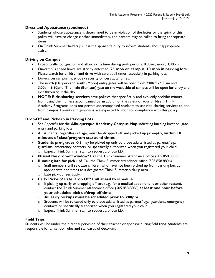### **Dress and Appearance (continued)**

- Students whose appearance is determined to be in violation of the letter or the spirit of this policy will have to change clothes immediately, and parents may be called to bring appropriate items.
- On Think Summer field trips, it is the sponsor's duty to inform students about appropriate attire.

### **Driving on Campus**

- Expect traffic congestion and allow extra time during peak periods: 8:00am, noon, 3:30pm.
- On-campus speed limits are strictly enforced! **25 mph on campus**; **10 mph in parking lots**. Please watch for children and drive with care at all times, especially in parking lots.
- Drivers on campus must obey security officers at all times.
- The north (Harper) and south (Moon) entry gates will be open from 7:00am-9:00am and 3:00pm-6:30pm. The main (Burlison) gate on the west side of campus will be open for entry and exit throughout the day.
- **NOTE: Ride-sharing services** have policies that specifically and explicitly prohibit minors from using them unless accompanied by an adult. For the safety of your children, Think Academy Programs does not permit unaccompanied students to use ride-sharing services to and from campus. Parents and guardians are expected to monitor compliance with this policy.

### **Drop-Off and Pick-Up in Parking Lots**

- See *Appendix* for the **Albuquerque Academy Campus Map** indicating building location, gate entry and parking lots
- All students, regardless of age, must be dropped off and picked up promptly, **within 10 minutes of class/program start/end times**.
- **Students pre-grades K-3** may be picked up only by those adults listed as parents/legal guardians, emergency contacts, or specifically authorized when you registered your child. o Expect Think Summer staff to request a photo I.D.
- **Missed the drop-off window?** Call the Think Summer attendance office (505.858.8806).
- **Running late for pick up?** Call the Think Summer attendance office (505.858.8806).
	- $\circ$  Staff members will relocate children who have not been picked up from parking lots at appropriate end times to a designated Think Summer pick-up area. o Late pick-up fees apply.
- **Early Pick-up? Late Drop Off? Call ahead to schedule.** 
	- $\circ$  If picking up early or dropping off late (e.g., for a medical appointment or other reason), contact the Think Summer attendance office (505.858.8806) **at least one hour before your scheduled pick-up/drop-off time**.
	- o **All early pickups must be scheduled prior to 3:00pm.**
	- $\circ$  Students will be released only to those adults listed as parents/legal guardians, emergency contacts or specifically authorized when you registered your child.
	- o Expect Think Summer staff to request a photo I.D.

### **Field Trips**

Students will be under the direct supervision of their teacher or sponsor during field trips. Students are responsible for all school rules and standards of decorum.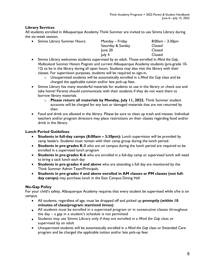### **Library Services**

All students enrolled in Albuquerque Academy Think Summer are invited to use Simms Library during the six-week session.

|  | • Simms Library Summer Hours: | Monday – Friday<br>Saturday & Sunday | $8:00am - 3:30pm$<br>Closed |
|--|-------------------------------|--------------------------------------|-----------------------------|
|  |                               | June 20                              | <b>Closed</b>               |
|  |                               | luly 4                               | <b>Closed</b>               |

- Simms Library welcomes students supervised by an adult. Those enrolled in *Mind the Gap*, *Multiculural Summer Honors Program* and current Albuquerque Academy students (pre-grade 10- 12) to be in the library during all open hours. Students may also visit the library with their classes. For supervision purposes, students will be required to sign-in.
	- o Unsupervised students will be automatically enrolled in a *Mind the Gap* class and be charged the applicable tuition and/or late pick-up fees.
- Simms Library has many wonderful materials for students to use in the library or check out and take home! Parents should communicate with their students if they do not want them to borrow library materials.
	- o **Please return all materials by Monday, July 11, 2022.** Think Summer student accounts will be charged for any lost or damaged materials that are not returned by then.
- Food and drink are allowed in the library. Please be sure to clean up trash and messes. Individual teachers and/or program directors may place restrictions on their classes regarding food and/or drink in the library.

### **Lunch Period Guidelines**

- **Students in full-day camps (8:00am 3:30pm):** Lunch supervision will be provided by camp leaders. Students must remain with their camp group during the lunch period.
- **Students in pre-grades K-3** who are on campus during the lunch period are required to be enrolled in a supervised lunch program
- **Students in pre-grades K-6** who are enrolled in a full-day camp or supervised lunch will need to bring a sack lunch each day
- **Students in pre-grades 4 and above** who are attending a full day are monitored by the Think Summer Admin Team/Principals.
- **Students in pre-grades 4 and above enrolled in AM classes** *or* **PM classes (not fullday camps)** may purchase lunch in the East Campus Dining Hall

### **No-Gap Policy**

For your child's safety, Albuquerque Academy requires that every student be supervised while s/he is on campus.

- All students, regardless of age, must be dropped off and picked up **promptly (within 10 minutes of class/program start/end times)**
- All students must be enrolled in a supervised program or in consecutive classes throughout the day – a gap in a student's schedule is not permitted
- Students may use Simms Library only if they are enrolled in a *Mind the Gap* class or supervised by an adult
- Unsupervised students will be automatically enrolled in a *Mind the Gap* class or Extended Care program and be charged the applicable tuition and/or late pick-up fees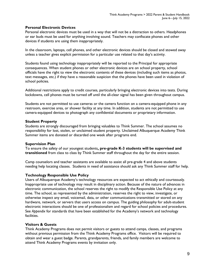### **Personal Electronic Devices**

Personal electronic devices must be used in a way that will not be a distraction to others. Headphones or ear buds must be used for anything involving sound. Teachers may confiscate phones and other devices if students are using them inappropriately.

In the classroom, laptops, cell phones, and other electronic devices should be closed and stowed away unless a teacher gives explicit permission for a particular use related to that day's activity.

Students found using technology inappropriately will be reported to the Principal for appropriate consequences. When student phones or other electronic devices are on school property, school officials have the right to view the electronic contents of these devices (including such items as photos, text messages, etc.) if they have a reasonable suspicion that the phones have been used in violation of school policies.

Additional restrictions apply to credit courses, particularly bringing electronic devices into tests. During lockdowns, cell phones must be turned off until the all-clear signal has been given throughout campus.

Students are not permitted to use cameras or the camera function on a camera-equipped phone in any restroom, exercise area, or shower facility at any time. In addition, students are not permitted to use camera-equipped devices to photograph any confidential documents or proprietary information.

### **Student Property**

Students are strongly discouraged from bringing valuables to Think Summer. The school assumes no responsibility for lost, stolen, or unclaimed student property. Unclaimed Albuquerque Academy Think Summer items are donated or discarded one week after programs end.

### **Supervision Plan**

To ensure the safety of our youngest students**, pre-grade K-3 students will be supervised and transitioned** from class to class by Think Summer staff throughout the day for the entire session.

Camp counselors and teacher assistants are available to assist all pre-grade 4 and above students needing help locating classes. Students in need of assistance should ask any Think Summer staff for help.

### **Technology Responsible Use Policy**

Users of Albuquerque Academy's technology resources are expected to act ethically and courteously. Inappropriate use of technology may result in disciplinary action. Because of the nature of advances in electronic communication, the school reserves the right to modify the Responsible Use Policy at any time. The school, as represented by the administration, reserves the right to view, investigate, or otherwise inspect any email, voicemail, data, or other communications transmitted or stored on any hardware, network, or servers that users access on campus. The guiding philosophy for adult-student electronic interactions should be one of professionalism and regard for school policies and procedures. See *Appendix* for standards that have been established for the Academy's network and technology facilities.

### **Visitors & Guests**

Think Academy Programs does not permit visitors or guests to attend camps, classes, and programs without previous permission from the Think Academy Programs office. Visitors will be required to obtain and wear a guest badge. Parents, grandparents, friends, and family members are welcome to attend Think Academy Programs events by invitation only.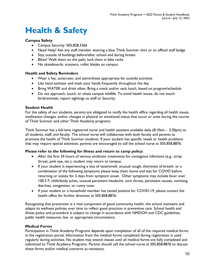### **Health & Safety**

### **Campus Safety**

- Campus Security: 505.828.3366
- Need Help? Ask any staff member wearing a blue Think Summer shirt or an official staff badge
- Stay outside of buildings before/after school and during breaks
- Bikes? Walk them on the path; lock them in bike racks
- No skateboards, scooters, roller blades on campus

### **Health and Safety Reminders**

- Wear a hat, sunscreen, and attire/shoes appropriate for outside activities
- Use hand sanitizer and wash your hands frequently throughout the day
- Bring WATER and drink often. Bring a snack and/or sack lunch, based on program/schedule
- Do not approach, touch, or chase campus wildlife. To avoid health issues, do not touch birds/animals; report sightings to staff or Security.

### **Student Health**

For the safety of our students, parents are obligated to notify the health office regarding all health issues, medication changes, and/or changes in physical or emotional status that occur or arise during the course of Think Summer and other Think Academy programs.

Think Summer has a full-time registered nurse and health assistant available daily  $(8:10am - 3:30pm)$  to all students, staff, and faculty. The school nurse will collaborate with both faculty and parents to promote the health of Think Summer students. If your student has specific needs or health problems that may require special attention, parents are encouraged to call the school nurse at 505.858.8876.

### **Please refer to the following for illness and return to camp policy:**

- After the first 24 hours of various antibiotic treatments for contagious infections (e.g., strep throat, pink eye, etc.), student may return to campus.
- If your student is experiencing a loss of taste/smell, unusual cough, shortness of breath, or a combination of the following symptoms please keep them home and test for COVID before returning or isolate for 5 days from symptom onset. Other symptoms may include fever over 100.3 F, chills/body aches, unusual persistent headache, sore throat, persistent nausea, vomiting, diarrhea, congestion, or runny nose.
- If your student or a household member has tested positive for COVID-19, please contact the health office for further direction at 505.858.8876.

Recognizing that prevention is a vital component of good community health, the school maintains and adapts its wellness policies over time to reflect good practices in preventive care. School health and illness policy and procedure is subject to change in accordance with NMDOH and CDC guidelines, public health measures, law, or appropriate circumstance.

### **Medical Forms**

Participation in Think Academy Programs depends upon completion of all of the required medical forms in the registration portal. Information from the medical forms completed during registration is used regularly during activities. No student may attend classes until all medical forms are fully completed and submitted to Think Academy Programs. Parents should call the school nurse at 505.858.8876 to discuss these forms and/or medical concerns as necessary.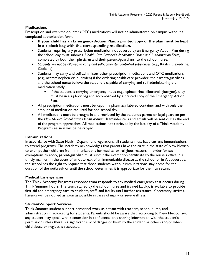### **Medications**

Prescription and over-the-counter (OTC) medications will not be administered on campus without a completed authorization form.

- **If your child has an Emergency Action Plan**, **a printed copy of the plan must be kept in a ziplock bag with the corresponding medication.**
- Students requiring any prescription medication not covered by an Emergency Action Plan during the school day must submit a *Health Care Provider's Medication Order and Authorization Form*, completed by both their physician and their parents/guardians, to the school nurse.
- *Students will not be allowed to carry and self-administer controlled substances* (e.g., Ritalin, Dexedrine, Codeine).
- Students may carry and self-administer other prescription medications and OTC medications (e.g., acetaminophen or ibuprofen) if the ordering health care provider, the parents/guardians, and the school nurse believe the student is capable of carrying and self-administering the medication safely.
	- If the student is carrying emergency meds (e.g., epinephrine, albuterol, glucagon), they must be in a ziplock bag and accompanied by a printed copy of the Emergency Action Plan.
- All prescription medications must be kept in a pharmacy labeled container and with only the amount of medication required for one school day.
- All medications must be brought in and retrieved by the student's parent or legal guardian per the *New Mexico School State Health Manual*. Reminder calls and emails will be sent out as the end of the program approaches. All medications not retrieved by the last day of a Think Academy Programs session will be destroyed.

### **Immunizations**

In accordance with State Health Department regulations, all students must have current immunizations to attend programs. The Academy acknowledges that parents have the right in the state of New Mexico to exempt their children from immunizations for medical or religious reasons. In order for such exemptions to apply, parent/guardian must submit the exemption certificate to the nurse's office in a timely manner. In the event of an outbreak of an immunizable disease at the school or in Albuquerque, the school has the right to require that those students without immunizations stay home for the duration of the outbreak or until the school determines it is appropriate for them to return.

### **Medical Emergencies**

The Think Academy Programs response team responds to any medical emergency that occurs during Think Summer hours. The team, staffed by the school nurse and trained faculty, is available to provide first aid and emergency care to students, staff, and faculty until further assistance, if necessary, arrives. Parents will be notified as soon as possible in cases of injury or severe illness.

### **Student-Support Services**

Think Summer student support personnel work as a team with teachers, school nurse, and administration in advocating for students. Parents should be aware that, according to New Mexico law, any student may speak with a counselor in confidence, only sharing information with the student's permission unless there is a significant risk of danger or harm to the student or others and/or when child abuse or neglect is suspected.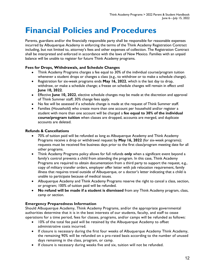### **Financial Policies and Procedures**

Parents, guardians and/or the financially responsible party shall be responsible for reasonable expenses incurred by Albuquerque Academy in enforcing the terms of the Think Academy Registration Contract including, but not limited to, attorney's fees and other expenses of collection. The Registration Contract shall be interpreted and enforced in accordance with the laws of New Mexico. Families with an unpaid balance will be unable to register for future Think Academy programs.

### **Fees for Drops, Withdrawals, and Schedule Changes**

- Think Academy Programs charges a fee equal to 30% of the individual course/program tuition whenever a student drops or changes a class (e.g., to withdraw or to make a schedule change).
- Registration for six-week programs ends **May 16, 2022**, which is the last day to drop, withdraw, or make a schedule change; a freeze on schedule changes will remain in effect until **June 10, 2022**.
- Effective **June 10, 2022**, elective schedule changes may be made at the discretion and approval of Think Summer staff; 30% change fees apply.
- No fee will be assessed if a schedule change is made at the request of Think Summer staff.
- Families (Household) who create more than one account per household and/or register a student with more than one account will be charged a **fee equal to 30% of the individual course/program tuition** when classes are dropped, accounts are merged, and duplicate accounts are deleted.

### **Refunds & Cancellations**

- 70% of tuition paid will be refunded as long as Albuquerque Academy and Think Academy Programs receive a drop or withdrawal request by **May 16, 2022** (for six-week programs); requests must be received five business days prior to the first class/program meeting date for all other programs.
- Think Academy Programs policy allows for full refunds **only** when a significant event beyond a family's control prevents a child from attending the program. In this case, Think Academy Programs are required to obtain documentation from a third party to support the request, e.g., copy of military transfer orders, employer offer letter with job relocation requirement, family illness that requires travel outside of Albuquerque, or a doctor's letter indicating that a child is unable to participate because of medical issues.
- Albuquerque Academy and Think Academy Programs reserve the right to cancel a class, section, or program; 100% of tuition paid will be refunded.
- **No refund will be made if a student is dismissed** from any Think Academy program, class, camp or section.

### **Emergency Preparedness Information**

Should Albuquerque Academy, Think Academy Programs, and/or the appropriate governmental authorities determine that it is in the best interests of our students, faculty, and staff to cease operations for a time period, fees for classes, programs, and/or camps will be refunded as follows:

- 10% of the total fee paid will be retained by the Albuquerque Academy to offset administrative costs incurred.
- If closure is necessary during the first four weeks of Albuquerque Academy Think Academy, the remaining 90% will be refunded on a pro-rated basis according to the number of unused days remaining in the class, program, or camp.
- If closure is necessary during weeks five and six, tuition will not be refunded.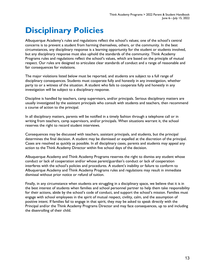## **Disciplinary Policies**

Albuquerque Academy's rules and regulations reflect the school's values; one of the school's central concerns is to prevent a student from harming themselves, others, or the community. In the best circumstances, any disciplinary response is a learning opportunity for the student or students involved, but any disciplinary response must also uphold the standards of the community. Think Academy Programs rules and regulations reflect the school's values, which are based on the principle of mutual respect. Our rules are designed to articulate clear standards of conduct and a range of reasonable and fair consequences for violations.

The major violations listed below must be reported, and students are subject to a full range of disciplinary consequences. Students must cooperate fully and honestly in any investigation, whether party to or a witness of the situation. A student who fails to cooperate fully and honestly in any investigation will be subject to a disciplinary response.

Discipline is handled by teachers, camp supervisors, and/or principals. Serious disciplinary matters are usually investigated by the assistant principals who consult with students and teachers, then recommend a course of action to the principal.

In all disciplinary matters, parents will be notified in a timely fashion through a telephone call or in writing from teachers, camp supervisors, and/or principals. When situations warrant it, the school reserves the right to record student interviews.

Consequences may be discussed with teachers, assistant principals, and students, but the principal determines the final decision. A student may be dismissed or expelled at the discretion of the principal. Cases are resolved as quickly as possible. In all disciplinary cases, parents and students may appeal any action to the Think Academy Director within five school days of the decision.

Albuquerque Academy and Think Academy Programs reserves the right to dismiss any student whose conduct or lack of cooperation and/or whose parent/guardian's conduct or lack of cooperation interferes with the school's policies and procedures. A student's inability or failure to conform to Albuquerque Academy and Think Academy Programs rules and regulations may result in immediate dismissal without prior notice or refund of tuition.

Finally, in any circumstance when students are struggling in a disciplinary space, we believe that it is in the best interest of students when families and school personnel partner to help them take responsibility for their actions, abide by the school's code of conduct, and support the school's mission. Families must engage with school employees in the spirit of mutual respect, civility, calm, and the assumption of positive intent. If families fail to engage in that spirit, they may be asked to speak directly with the Principal and/or the Think Academy Programs Director and may face consequences, up to and including the disenrolling of their child.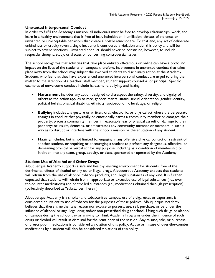### **Unwanted Interpersonal Conduct**

In order to fulfill the Academy's mission, all individuals must be free to develop relationships, work, and learn in a healthy environment that is free of fear, intimidation, humiliation, threats of violence, or unwanted or unacceptable behaviors that create a hostile atmosphere. To that end, any act of deliberate unkindness or cruelty (even a single incident) is considered a violation under this policy and will be subject to severe sanctions. Unwanted conduct should never be construed, however, to include respectful thought, study, or discussion concerning controversial issues.

The school recognizes that activities that take place entirely off-campus or online can have a profound impact on the lives of the students on campus; therefore, involvement in unwanted conduct that takes place away from the school may subject the involved students to disciplinary action at the Academy. Students who feel that they have experienced unwanted interpersonal conduct are urged to bring the matter to the attention of a teacher, staff member, student support counselor, or principal. Specific examples of unwelcome conduct include harassment, bullying, and hazing:

- **Harassment** includes any action designed to disrespect the safety, diversity, and dignity of others as the action applies to race, gender, marital status, sexual orientation, gender identity, political beliefs, physical disability, ethnicity, socioeconomic level, age, or religion.
- **Bullying** includes any gesture or written, oral, electronic, or physical act where the perpetrator engages in conduct that physically or emotionally harms a community member or damages their property; places a community member in reasonable fear of physical assault or damage to their property; or insults, demeans, or embarrasses any community member or members in such a way as to disrupt or interfere with the school's mission or the education of any student.
- **Hazing** includes, but is not limited to, engaging in any offensive physical contact or restraint of another student, or requiring or encouraging a student to perform any dangerous, offensive, or demeaning physical or verbal act for any purpose, including as a condition of membership or initiation into any team, group, activity, or class, sponsored or operated by the Academy.

### **Student Use of Alcohol and Other Drugs**

Albuquerque Academy supports a safe and healthy learning environment for students, free of the detrimental effects of alcohol or any other illegal drugs. Albuquerque Academy expects that students will refrain from the use of alcohol, tobacco products, and illegal substances of any kind. It is further expected that students will refrain from inappropriate or excessive use of legal substances (i.e., overthe-counter medications) and controlled substances (i.e., medications obtained through prescription) (collectively described as "substances" herein).

Albuquerque Academy is a smoke- and tobacco-free campus; use of e-cigarettes or vaporizers is considered equivalent to use of tobacco for the purposes of these policies. Albuquerque Academy believes that there is neither any reason nor excuse to possess, use, sell, purchase, or be under the influence of alcohol or any illegal drug and/or non-prescribed drug at school. Using such drugs or alcohol on campus during the school day or arriving to Think Academy Programs under the influence of such drugs or alcohol will result in dismissal for the remainder of the session. Any misuse, sale, or purchase of prescription medications is considered a violation of this policy. Abuse or misuse of over-the-counter medications by a student will also be considered violations of this policy.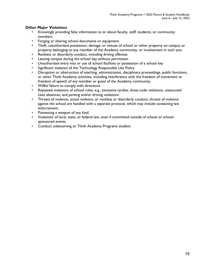### **Other Major Violations**

- Knowingly providing false information to or about faculty, staff, students, or community members
- Forging or altering school documents or equipment
- Theft, unauthorized possession, damage, or misuse of school or other property on campus or property belonging to any member of the Academy community, or involvement in such acts
- Reckless or disorderly conduct, including driving offenses
- Leaving campus during the school day without permission
- Unauthorized entry into or use of school facilities or possession of a school key
- Significant violation of the Technology Responsible Use Policy
- Disruption or obstruction of teaching, administration, disciplinary proceedings, public functions, or other Think Academy activities, including interference with the freedom of movement or freedom of speech of any member or guest of the Academy community.
- Willful failure to comply with directions
- Repeated violations of school rules, e.g., excessive tardies, dress code violations, unexcused class absences, and parking and/or driving violations
- Threats of violence, actual violence, or reckless or disorderly conduct; threats of violence against the school are handled with a separate protocol, which may include contacting law enforcement.
- Possessing a weapon of any kind.
- Violations of local, state, or federal law, even if committed outside of school or schoolsponsored events.
- Conduct unbecoming an Think Academy Programs student.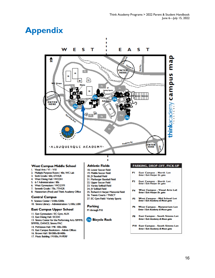### **Appendix**



#### **West Campus Middle School**

- I. Visual Arts / VI VIO
- 2. Multiple Purpose Room / 40s; WC Lab
- 3. Sixth Grade / 60s; 6THGR
- 4. West Dining Hall / WCDH
- 5. 6-7 Administration / 80s
- 6. West Gymnasium / WCGYM
- 7. Seventh Grade / 70s; 7THGR
- 8. Natatorium (Pool) and Think Academy Office

#### **Central Campus**

9. Science Center / S100s-S200s 10. Simms Library - Administration / L100s; LIBR

#### **East Campus Upper School**

- 11. East Gymnasium / EC Gym; AUX 12. East Dining Hall / ECDH 13. Simms Center for the Performing Arts /SIMMS; SIMMSL; DANCE; Simms PAC
- 14. McKinnon Hall / MK 100s-200s
- 15. East Campus Bookstore Admin Offices
- 16. Brown Hall / BH300s-BH400s
- 17. Music Building / M100s; M-PERF

#### **Athletic Fields**

- 18. Lower Soccer Field
- 19. Middle Soccer Field
- 20. JV Baseball Field
- 21. Marburger Baseball Field
- 22. Upper Soccer Field 23. Varsity Softball Field
- 
- 24. JV Softball Field
- 25. Richard A Harper Memorial Field 26. Tennis Courts / TNSCT

п

- 27. EC Gym Field / Variety Sports
- 

### Parking

PI through PIO

#### **Co** Bicycle Rack

#### PARKING, DROP-OFF, PICK-UP

- East Campus North Lot<br>Enter / Exit Harper Dr. gate PI
- P<sub>2</sub> East Campus - North Lot<br>Enter / Exit Harper Dr. gate
- **West Campus Visual Arts Lot** P4 Enter / Exit Harper Dr. gate
- West Campus Mid School Lot<br>Enter / Exit Academy & Moon gate P<sub>5</sub>
- P6 **West Campus - Natatorium Lot** Enter / Exit Academy & Moon gate
- **East Campus South Simms Lot P8** Enter / Exit Academy & Moon gate
- PIO East Campus South Simms Lot Enter / Exit Academy & Moon gate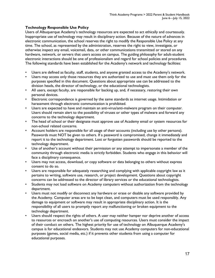### **Technology Responsible Use Policy**

Users of Albuquerque Academy's technology resources are expected to act ethically and courteously. Inappropriate use of technology may result in disciplinary action. Because of the nature of advances in electronic communication, the school reserves the right to modify the Responsible Use Policy at any time. The school, as represented by the administration, reserves the right to view, investigate, or otherwise inspect any email, voicemail, data, or other communications transmitted or stored on any hardware, network, or servers that users access on campus. The guiding philosophy for adult-student electronic interactions should be one of professionalism and regard for school policies and procedures. The following standards have been established for the Academy's network and technology facilities:

- Users are defined as faculty, staff, students, and anyone granted access to the Academy's network.
- Users may access only those resources they are authorized to use and must use them only for the purposes specified in this document. Questions about appropriate use can be addressed to the division heads, the director of technology, or the educational technologists.
- All users, except faculty, are responsible for backing up, and, if necessary, restoring their own personal devices.
- Electronic correspondence is governed by the same standards as internet usage. Intimidation or harassment through electronic communication is prohibited.
- Users are expected to have and maintain an anti-virus/anti-malware program on their computer. Users should remain alert to the possibility of viruses or other types of malware and forward any concerns to the technology department.
- The head of school or their designate must approve use of Academy email or system resources for non-school related concerns.
- Account holders are responsible for all usage of their accounts (including use by other persons). Passwords must NOT be given to others. If a password is compromised, change it immediately and report it to the technology department. Lost or forgotten passwords should be reported to the technology department.
- Use of another's account without their permission or any attempt to impersonate a member of the community through electronic media is strictly forbidden. Students who engage in this behavior will face a disciplinary consequence.
- Users may not access, download, or copy software or data belonging to others without express consent to do so.
- Users are responsible for adequately researching and complying with applicable copyright law as it pertains to writing, software use, research, or project development. Questions about copyright concerns can be addressed to the director of library services or the educational technologists.
- Students may not load software on Academy computers without authorization from the technology department.
- Users must not modify or disconnect any hardware or erase or disable any software provided by the Academy. Computer areas are to be kept clean, and computers must be used responsibly. Any damage to equipment or software may result in appropriate disciplinary action. It is the responsibility of all users to promptly report any malfunctioning or broken equipment to the technology department.
- Users should respect the rights of others. A user may neither hamper nor deprive another of access to resources or encroach on another's use of computing resources. Users must consider the impact of their conduct on others. The highest priority for use of technology on Albuquerque Academy's campus is for educational endeavors. Students may not use Academy computers for non-educational purposes (games, social media, etc.) if it prevents other students from using a computer for educational purposes.